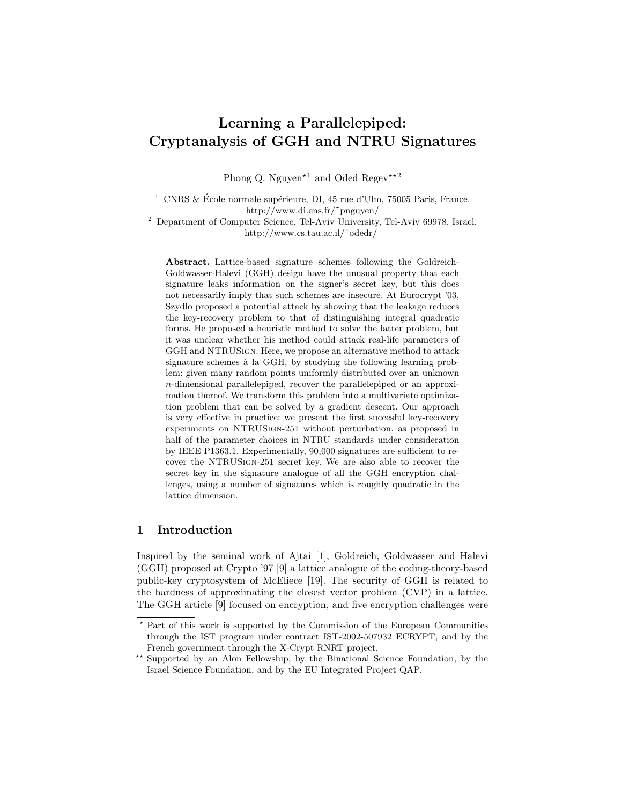# Learning a Parallelepiped: Cryptanalysis of GGH and NTRU Signatures

Phong Q. Nguyen<sup>\*1</sup> and Oded Regev<sup>\*\*2</sup>

<sup>1</sup> CNRS & École normale supérieure, DI, 45 rue d'Ulm, 75005 Paris, France. http://www.di.ens.fr/˜pnguyen/

<sup>2</sup> Department of Computer Science, Tel-Aviv University, Tel-Aviv 69978, Israel. http://www.cs.tau.ac.il/˜odedr/

Abstract. Lattice-based signature schemes following the Goldreich-Goldwasser-Halevi (GGH) design have the unusual property that each signature leaks information on the signer's secret key, but this does not necessarily imply that such schemes are insecure. At Eurocrypt '03, Szydlo proposed a potential attack by showing that the leakage reduces the key-recovery problem to that of distinguishing integral quadratic forms. He proposed a heuristic method to solve the latter problem, but it was unclear whether his method could attack real-life parameters of GGH and NTRUSign. Here, we propose an alternative method to attack signature schemes à la GGH, by studying the following learning problem: given many random points uniformly distributed over an unknown n-dimensional parallelepiped, recover the parallelepiped or an approximation thereof. We transform this problem into a multivariate optimization problem that can be solved by a gradient descent. Our approach is very effective in practice: we present the first succesful key-recovery experiments on NTRUSign-251 without perturbation, as proposed in half of the parameter choices in NTRU standards under consideration by IEEE P1363.1. Experimentally, 90,000 signatures are sufficient to recover the NTRUSign-251 secret key. We are also able to recover the secret key in the signature analogue of all the GGH encryption challenges, using a number of signatures which is roughly quadratic in the lattice dimension.

## 1 Introduction

Inspired by the seminal work of Ajtai [1], Goldreich, Goldwasser and Halevi (GGH) proposed at Crypto '97 [9] a lattice analogue of the coding-theory-based public-key cryptosystem of McEliece [19]. The security of GGH is related to the hardness of approximating the closest vector problem (CVP) in a lattice. The GGH article [9] focused on encryption, and five encryption challenges were

<sup>?</sup> Part of this work is supported by the Commission of the European Communities through the IST program under contract IST-2002-507932 ECRYPT, and by the French government through the X-Crypt RNRT project.

<sup>\*\*</sup> Supported by an Alon Fellowship, by the Binational Science Foundation, by the Israel Science Foundation, and by the EU Integrated Project QAP.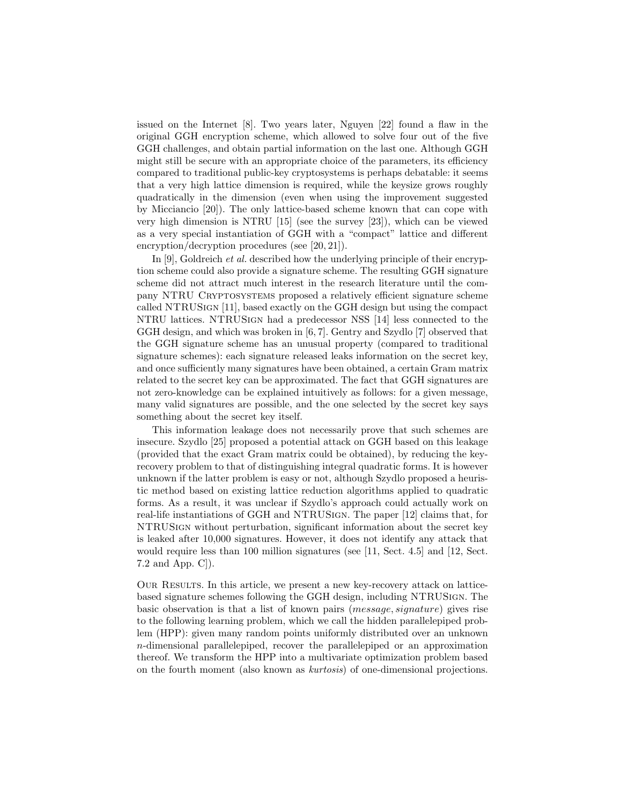issued on the Internet [8]. Two years later, Nguyen [22] found a flaw in the original GGH encryption scheme, which allowed to solve four out of the five GGH challenges, and obtain partial information on the last one. Although GGH might still be secure with an appropriate choice of the parameters, its efficiency compared to traditional public-key cryptosystems is perhaps debatable: it seems that a very high lattice dimension is required, while the keysize grows roughly quadratically in the dimension (even when using the improvement suggested by Micciancio [20]). The only lattice-based scheme known that can cope with very high dimension is NTRU [15] (see the survey [23]), which can be viewed as a very special instantiation of GGH with a "compact" lattice and different encryption/decryption procedures (see [20, 21]).

In [9], Goldreich *et al.* described how the underlying principle of their encryption scheme could also provide a signature scheme. The resulting GGH signature scheme did not attract much interest in the research literature until the company NTRU CRYPTOSYSTEMS proposed a relatively efficient signature scheme called NTRUSign [11], based exactly on the GGH design but using the compact NTRU lattices. NTRUSign had a predecessor NSS [14] less connected to the GGH design, and which was broken in [6, 7]. Gentry and Szydlo [7] observed that the GGH signature scheme has an unusual property (compared to traditional signature schemes): each signature released leaks information on the secret key, and once sufficiently many signatures have been obtained, a certain Gram matrix related to the secret key can be approximated. The fact that GGH signatures are not zero-knowledge can be explained intuitively as follows: for a given message, many valid signatures are possible, and the one selected by the secret key says something about the secret key itself.

This information leakage does not necessarily prove that such schemes are insecure. Szydlo [25] proposed a potential attack on GGH based on this leakage (provided that the exact Gram matrix could be obtained), by reducing the keyrecovery problem to that of distinguishing integral quadratic forms. It is however unknown if the latter problem is easy or not, although Szydlo proposed a heuristic method based on existing lattice reduction algorithms applied to quadratic forms. As a result, it was unclear if Szydlo's approach could actually work on real-life instantiations of GGH and NTRUSign. The paper [12] claims that, for NTRUSign without perturbation, significant information about the secret key is leaked after 10,000 signatures. However, it does not identify any attack that would require less than 100 million signatures (see [11, Sect. 4.5] and [12, Sect. 7.2 and App. C]).

Our Results. In this article, we present a new key-recovery attack on latticebased signature schemes following the GGH design, including NTRUSign. The basic observation is that a list of known pairs (message, signature) gives rise to the following learning problem, which we call the hidden parallelepiped problem (HPP): given many random points uniformly distributed over an unknown n-dimensional parallelepiped, recover the parallelepiped or an approximation thereof. We transform the HPP into a multivariate optimization problem based on the fourth moment (also known as kurtosis) of one-dimensional projections.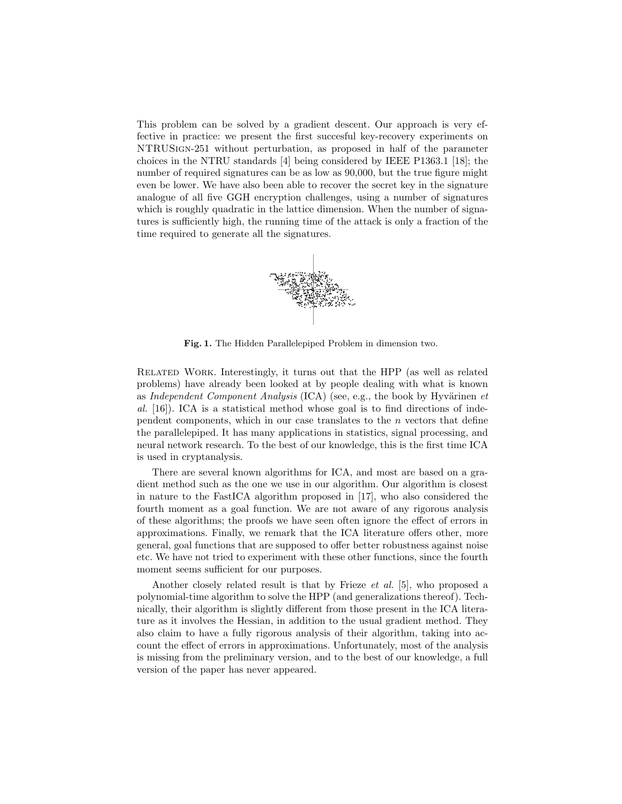This problem can be solved by a gradient descent. Our approach is very effective in practice: we present the first succesful key-recovery experiments on NTRUSign-251 without perturbation, as proposed in half of the parameter choices in the NTRU standards [4] being considered by IEEE P1363.1 [18]; the number of required signatures can be as low as 90,000, but the true figure might even be lower. We have also been able to recover the secret key in the signature analogue of all five GGH encryption challenges, using a number of signatures which is roughly quadratic in the lattice dimension. When the number of signatures is sufficiently high, the running time of the attack is only a fraction of the time required to generate all the signatures.



Fig. 1. The Hidden Parallelepiped Problem in dimension two.

Related Work. Interestingly, it turns out that the HPP (as well as related problems) have already been looked at by people dealing with what is known as Independent Component Analysis (ICA) (see, e.g., the book by Hyvärinen  $et$ al. [16]). ICA is a statistical method whose goal is to find directions of independent components, which in our case translates to the  $n$  vectors that define the parallelepiped. It has many applications in statistics, signal processing, and neural network research. To the best of our knowledge, this is the first time ICA is used in cryptanalysis.

There are several known algorithms for ICA, and most are based on a gradient method such as the one we use in our algorithm. Our algorithm is closest in nature to the FastICA algorithm proposed in [17], who also considered the fourth moment as a goal function. We are not aware of any rigorous analysis of these algorithms; the proofs we have seen often ignore the effect of errors in approximations. Finally, we remark that the ICA literature offers other, more general, goal functions that are supposed to offer better robustness against noise etc. We have not tried to experiment with these other functions, since the fourth moment seems sufficient for our purposes.

Another closely related result is that by Frieze et al. [5], who proposed a polynomial-time algorithm to solve the HPP (and generalizations thereof). Technically, their algorithm is slightly different from those present in the ICA literature as it involves the Hessian, in addition to the usual gradient method. They also claim to have a fully rigorous analysis of their algorithm, taking into account the effect of errors in approximations. Unfortunately, most of the analysis is missing from the preliminary version, and to the best of our knowledge, a full version of the paper has never appeared.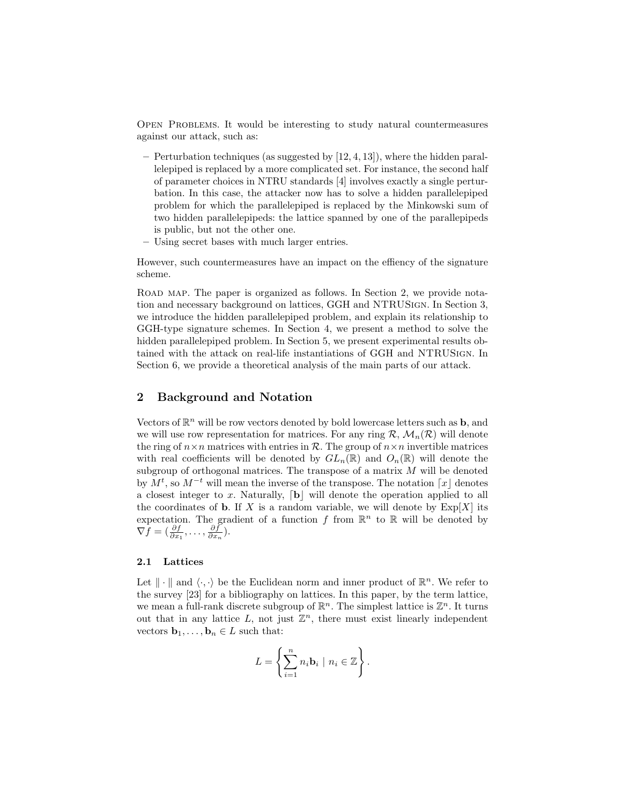Open Problems. It would be interesting to study natural countermeasures against our attack, such as:

- Perturbation techniques (as suggested by [12, 4, 13]), where the hidden parallelepiped is replaced by a more complicated set. For instance, the second half of parameter choices in NTRU standards [4] involves exactly a single perturbation. In this case, the attacker now has to solve a hidden parallelepiped problem for which the parallelepiped is replaced by the Minkowski sum of two hidden parallelepipeds: the lattice spanned by one of the parallepipeds is public, but not the other one.
- Using secret bases with much larger entries.

However, such countermeasures have an impact on the effiency of the signature scheme.

ROAD MAP. The paper is organized as follows. In Section 2, we provide notation and necessary background on lattices, GGH and NTRUSign. In Section 3, we introduce the hidden parallelepiped problem, and explain its relationship to GGH-type signature schemes. In Section 4, we present a method to solve the hidden parallelepiped problem. In Section 5, we present experimental results obtained with the attack on real-life instantiations of GGH and NTRUSign. In Section 6, we provide a theoretical analysis of the main parts of our attack.

## 2 Background and Notation

Vectors of  $\mathbb{R}^n$  will be row vectors denoted by bold lowercase letters such as **b**, and we will use row representation for matrices. For any ring  $\mathcal{R}, \mathcal{M}_n(\mathcal{R})$  will denote the ring of  $n \times n$  matrices with entries in R. The group of  $n \times n$  invertible matrices with real coefficients will be denoted by  $GL_n(\mathbb{R})$  and  $O_n(\mathbb{R})$  will denote the subgroup of orthogonal matrices. The transpose of a matrix  $M$  will be denoted by  $M^t$ , so  $M^{-t}$  will mean the inverse of the transpose. The notation  $\lceil x \rfloor$  denotes a closest integer to x. Naturally,  $\begin{bmatrix} \mathbf{b} \end{bmatrix}$  will denote the operation applied to all the coordinates of **b**. If X is a random variable, we will denote by  $\exp[X]$  its expectation. The gradient of a function f from  $\mathbb{R}^n$  to  $\mathbb R$  will be denoted by  $\nabla f = (\frac{\partial f}{\partial x_1}, \dots, \frac{\partial f}{\partial x_n}).$ 

#### 2.1 Lattices

Let  $\|\cdot\|$  and  $\langle \cdot, \cdot \rangle$  be the Euclidean norm and inner product of  $\mathbb{R}^n$ . We refer to the survey [23] for a bibliography on lattices. In this paper, by the term lattice, we mean a full-rank discrete subgroup of  $\mathbb{R}^n$ . The simplest lattice is  $\mathbb{Z}^n$ . It turns out that in any lattice  $L$ , not just  $\mathbb{Z}^n$ , there must exist linearly independent vectors  $\mathbf{b}_1, \ldots, \mathbf{b}_n \in L$  such that:

$$
L = \left\{ \sum_{i=1}^n n_i \mathbf{b}_i \mid n_i \in \mathbb{Z} \right\}.
$$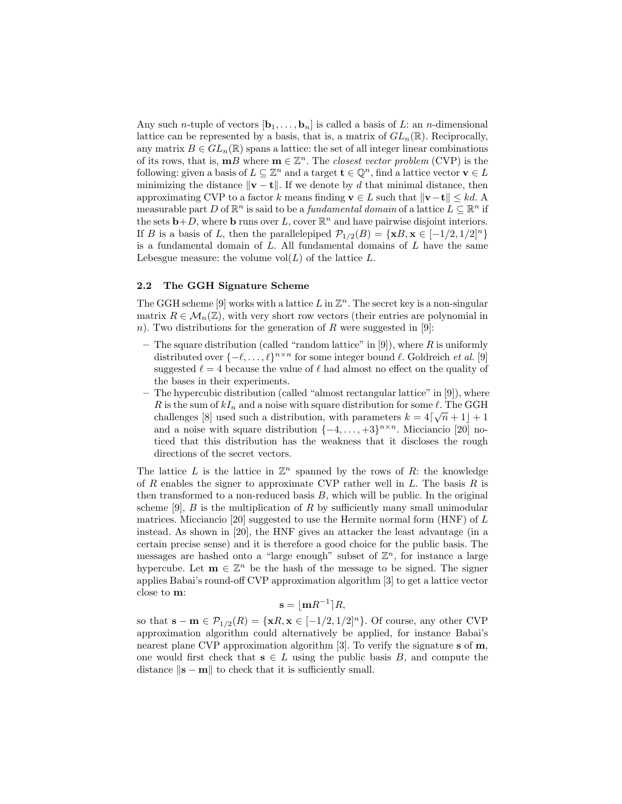Any such *n*-tuple of vectors  $|\mathbf{b}_1, \dots, \mathbf{b}_n|$  is called a basis of L: an *n*-dimensional lattice can be represented by a basis, that is, a matrix of  $GL_n(\mathbb{R})$ . Reciprocally, any matrix  $B \in GL_n(\mathbb{R})$  spans a lattice: the set of all integer linear combinations of its rows, that is,  $mB$  where  $m \in \mathbb{Z}^n$ . The *closest vector problem* (CVP) is the following: given a basis of  $L \subseteq \mathbb{Z}^n$  and a target  $\mathbf{t} \in \mathbb{Q}^n$ , find a lattice vector  $\mathbf{v} \in L$ minimizing the distance  $\|\mathbf{v} - \mathbf{t}\|$ . If we denote by d that minimal distance, then approximating CVP to a factor k means finding  $\mathbf{v} \in L$  such that  $\|\mathbf{v}-\mathbf{t}\| \leq kd$ . A measurable part D of  $\mathbb{R}^n$  is said to be a *fundamental domain* of a lattice  $L \subseteq \mathbb{R}^n$  if the sets  $\mathbf{b}+D$ , where  $\mathbf{b}$  runs over L, cover  $\mathbb{R}^n$  and have pairwise disjoint interiors. If B is a basis of L, then the parallelepiped  $\mathcal{P}_{1/2}(B) = {\mathbf{x}B, \mathbf{x} \in [-1/2, 1/2]^n}$ is a fundamental domain of  $L$ . All fundamental domains of  $L$  have the same Lebesgue measure: the volume  $vol(L)$  of the lattice L.

#### 2.2 The GGH Signature Scheme

The GGH scheme [9] works with a lattice  $L$  in  $\mathbb{Z}^n$ . The secret key is a non-singular matrix  $R \in \mathcal{M}_n(\mathbb{Z})$ , with very short row vectors (their entries are polynomial in n). Two distributions for the generation of R were suggested in [9]:

- The square distribution (called "random lattice" in [9]), where  $R$  is uniformly distributed over  $\{-\ell, \ldots, \ell\}^{n \times n}$  for some integer bound  $\ell$ . Goldreich *et al.* [9] suggested  $\ell = 4$  because the value of  $\ell$  had almost no effect on the quality of the bases in their experiments.
- $-$  The hypercubic distribution (called "almost rectangular lattice" in [9]), where R is the sum of  $kI_n$  and a noise with square distribution for some  $\ell$ . The GGH challenges [8] used such a distribution, with parameters  $k = 4\lceil \sqrt{n} + 1 \rceil + 1$ and a noise with square distribution  $\{-4, \ldots, +3\}^{n \times n}$ . Micciancio [20] noticed that this distribution has the weakness that it discloses the rough directions of the secret vectors.

The lattice L is the lattice in  $\mathbb{Z}^n$  spanned by the rows of R: the knowledge of R enables the signer to approximate CVP rather well in  $L$ . The basis R is then transformed to a non-reduced basis  $B$ , which will be public. In the original scheme  $[9]$ , B is the multiplication of R by sufficiently many small unimodular matrices. Micciancio [20] suggested to use the Hermite normal form  $(HNF)$  of  $L$ instead. As shown in [20], the HNF gives an attacker the least advantage (in a certain precise sense) and it is therefore a good choice for the public basis. The messages are hashed onto a "large enough" subset of  $\mathbb{Z}^n$ , for instance a large hypercube. Let  $\mathbf{m} \in \mathbb{Z}^n$  be the hash of the message to be signed. The signer applies Babai's round-off CVP approximation algorithm [3] to get a lattice vector close to m:

$$
\mathbf{s} = \lfloor \mathbf{m} R^{-1} \rfloor R,
$$

so that  $\mathbf{s} - \mathbf{m} \in \mathcal{P}_{1/2}(R) = {\mathbf{x}R, \mathbf{x} \in [-1/2, 1/2]^n}$ . Of course, any other CVP approximation algorithm could alternatively be applied, for instance Babai's nearest plane CVP approximation algorithm [3]. To verify the signature s of m, one would first check that  $s \in L$  using the public basis B, and compute the distance  $\|\mathbf{s} - \mathbf{m}\|$  to check that it is sufficiently small.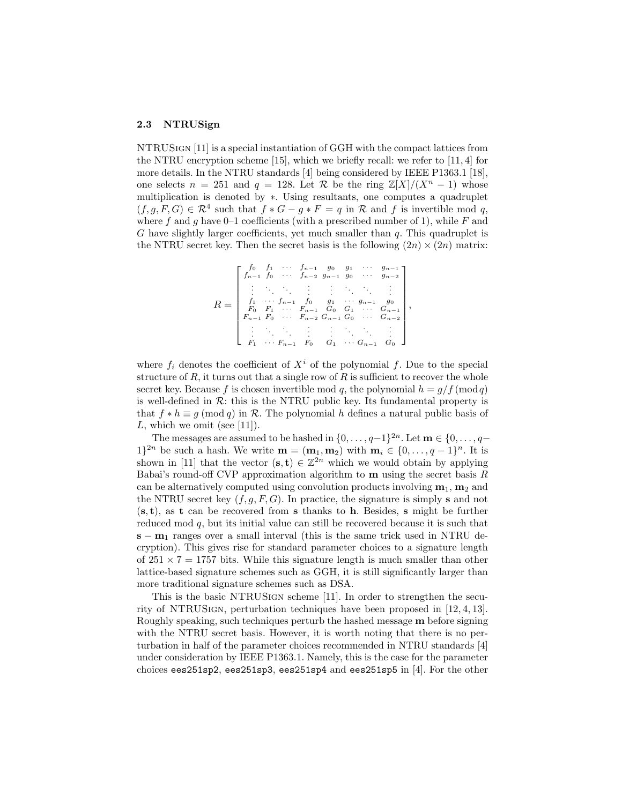#### 2.3 NTRUSign

NTRUSign [11] is a special instantiation of GGH with the compact lattices from the NTRU encryption scheme [15], which we briefly recall: we refer to [11, 4] for more details. In the NTRU standards [4] being considered by IEEE P1363.1 [18], one selects  $n = 251$  and  $q = 128$ . Let R be the ring  $\mathbb{Z}[X]/(X^n - 1)$  whose multiplication is denoted by ∗. Using resultants, one computes a quadruplet  $(f, g, F, G) \in \mathbb{R}^4$  such that  $f * G - g * F = q$  in  $\mathbb{R}$  and f is invertible mod q, where f and g have  $0-1$  coefficients (with a prescribed number of 1), while F and G have slightly larger coefficients, yet much smaller than q. This quadruplet is the NTRU secret key. Then the secret basis is the following  $(2n) \times (2n)$  matrix:

$$
R = \begin{bmatrix} f_0 & f_1 & \cdots & f_{n-1} & g_0 & g_1 & \cdots & g_{n-1} \\ f_{n-1} & f_0 & \cdots & f_{n-2} & g_{n-1} & g_0 & \cdots & g_{n-2} \\ \vdots & \ddots & \ddots & \vdots & \vdots & \ddots & \vdots \\ f_1 & \cdots & f_{n-1} & f_0 & g_1 & \cdots & g_{n-1} & g_0 \\ F_0 & F_1 & \cdots & F_{n-1} & G_0 & G_1 & \cdots & G_{n-1} \\ F_{n-1} & F_0 & \cdots & F_{n-2} & G_{n-1} & G_0 & \cdots & G_{n-2} \\ \vdots & \ddots & \vdots & \vdots & \ddots & \vdots & \vdots \\ F_1 & \cdots & F_{n-1} & F_0 & G_1 & \cdots & G_{n-1} & G_0 \end{bmatrix},
$$

where  $f_i$  denotes the coefficient of  $X^i$  of the polynomial f. Due to the special structure of  $R$ , it turns out that a single row of  $R$  is sufficient to recover the whole secret key. Because f is chosen invertible mod q, the polynomial  $h = q/f \pmod{q}$ is well-defined in  $\mathcal{R}$ : this is the NTRU public key. Its fundamental property is that  $f * h \equiv g \pmod{q}$  in R. The polynomial h defines a natural public basis of L, which we omit (see [11]).

The messages are assumed to be hashed in  $\{0, \ldots, q-1\}^{2n}$ . Let  $\mathbf{m} \in \{0, \ldots, q-1\}$  $1\}^{2n}$  be such a hash. We write  $\mathbf{m} = (\mathbf{m}_1, \mathbf{m}_2)$  with  $\mathbf{m}_i \in \{0, \ldots, q-1\}^n$ . It is shown in [11] that the vector  $(s, t) \in \mathbb{Z}^{2n}$  which we would obtain by applying Babai's round-off CVP approximation algorithm to  **using the secret basis**  $R$ can be alternatively computed using convolution products involving  $\mathbf{m}_1$ ,  $\mathbf{m}_2$  and the NTRU secret key  $(f, g, F, G)$ . In practice, the signature is simply s and not  $(s, t)$ , as t can be recovered from s thanks to h. Besides, s might be further reduced mod  $q$ , but its initial value can still be recovered because it is such that  $s - m_1$  ranges over a small interval (this is the same trick used in NTRU decryption). This gives rise for standard parameter choices to a signature length of  $251 \times 7 = 1757$  bits. While this signature length is much smaller than other lattice-based signature schemes such as GGH, it is still significantly larger than more traditional signature schemes such as DSA.

This is the basic NTRUSign scheme [11]. In order to strengthen the security of NTRUSign, perturbation techniques have been proposed in [12, 4, 13]. Roughly speaking, such techniques perturb the hashed message m before signing with the NTRU secret basis. However, it is worth noting that there is no perturbation in half of the parameter choices recommended in NTRU standards [4] under consideration by IEEE P1363.1. Namely, this is the case for the parameter choices ees251sp2, ees251sp3, ees251sp4 and ees251sp5 in [4]. For the other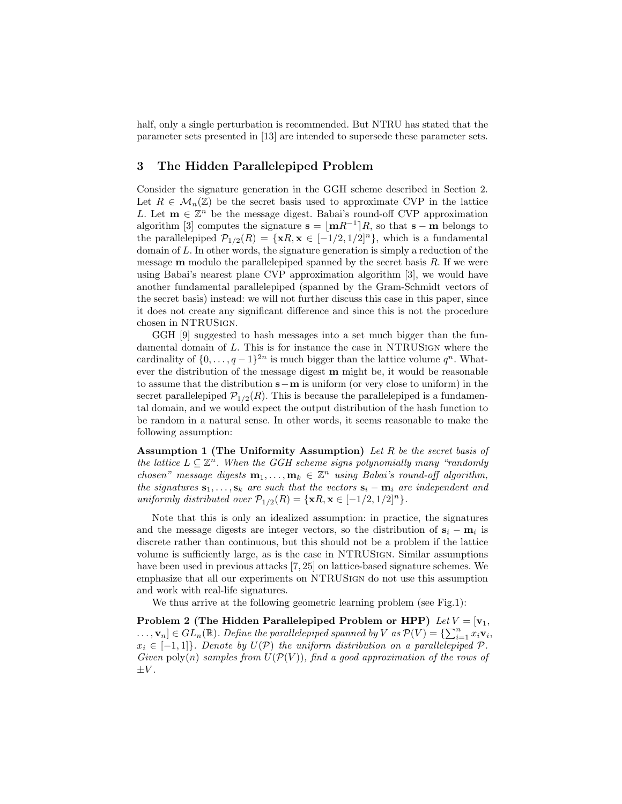half, only a single perturbation is recommended. But NTRU has stated that the parameter sets presented in [13] are intended to supersede these parameter sets.

## 3 The Hidden Parallelepiped Problem

Consider the signature generation in the GGH scheme described in Section 2. Let  $R \in \mathcal{M}_n(\mathbb{Z})$  be the secret basis used to approximate CVP in the lattice L. Let  $\mathbf{m} \in \mathbb{Z}^n$  be the message digest. Babai's round-off CVP approximation algorithm [3] computes the signature  $\mathbf{s} = \lfloor \mathbf{m} R^{-1} \rfloor R$ , so that  $\mathbf{s} - \mathbf{m}$  belongs to the parallelepiped  $\mathcal{P}_{1/2}(R) = {\mathbf{x}R, \mathbf{x} \in [-1/2, 1/2]^n}$ , which is a fundamental domain of L. In other words, the signature generation is simply a reduction of the message  **modulo the parallelepiped spanned by the secret basis**  $R$ **. If we were** using Babai's nearest plane CVP approximation algorithm [3], we would have another fundamental parallelepiped (spanned by the Gram-Schmidt vectors of the secret basis) instead: we will not further discuss this case in this paper, since it does not create any significant difference and since this is not the procedure chosen in NTRUSign.

GGH [9] suggested to hash messages into a set much bigger than the fundamental domain of L. This is for instance the case in NTRUSIGN where the cardinality of  $\{0, \ldots, q-1\}^{2n}$  is much bigger than the lattice volume  $q^n$ . Whatever the distribution of the message digest m might be, it would be reasonable to assume that the distribution s−m is uniform (or very close to uniform) in the secret parallelepiped  $\mathcal{P}_{1/2}(R)$ . This is because the parallelepiped is a fundamental domain, and we would expect the output distribution of the hash function to be random in a natural sense. In other words, it seems reasonable to make the following assumption:

Assumption 1 (The Uniformity Assumption) Let R be the secret basis of the lattice  $L \subseteq \mathbb{Z}^n$ . When the GGH scheme signs polynomially many "randomly" chosen" message digests  $\mathbf{m}_1, \ldots, \mathbf{m}_k \in \mathbb{Z}^n$  using Babai's round-off algorithm, the signatures  $\mathbf{s}_1, \ldots, \mathbf{s}_k$  are such that the vectors  $\mathbf{s}_i - \mathbf{m}_i$  are independent and uniformly distributed over  $\mathcal{P}_{1/2}(R) = {\mathbf{x}R, \mathbf{x} \in [-1/2, 1/2]^n}.$ 

Note that this is only an idealized assumption: in practice, the signatures and the message digests are integer vectors, so the distribution of  $s_i - m_i$  is discrete rather than continuous, but this should not be a problem if the lattice volume is sufficiently large, as is the case in NTRUSign. Similar assumptions have been used in previous attacks [7, 25] on lattice-based signature schemes. We emphasize that all our experiments on NTRUSign do not use this assumption and work with real-life signatures.

We thus arrive at the following geometric learning problem (see Fig.1):

Problem 2 (The Hidden Parallelepiped Problem or HPP) Let  $V = [v_1, v_2]$  $[\ldots, \mathbf{v}_n] \in GL_n(\mathbb{R})$ . Define the parallelepiped spanned by V as  $\mathcal{P}(V) = \{\sum_{i=1}^n x_i \mathbf{v}_i,$  $x_i \in [-1,1]$ . Denote by  $U(\mathcal{P})$  the uniform distribution on a parallelepiped  $\mathcal{P}$ . Given poly(n) samples from  $U(\mathcal{P}(V))$ , find a good approximation of the rows of  $\pm V$ .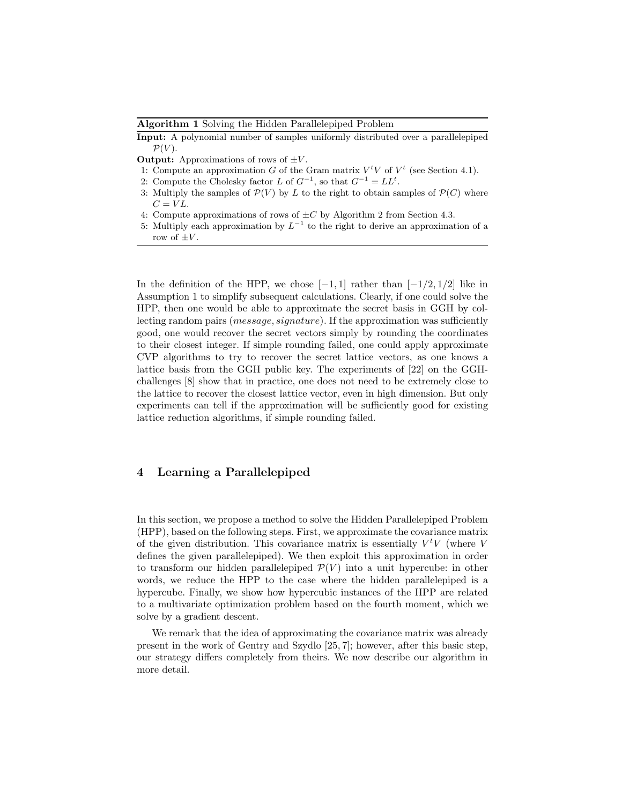#### Algorithm 1 Solving the Hidden Parallelepiped Problem

- Input: A polynomial number of samples uniformly distributed over a parallelepiped  $\mathcal{P}(V)$ .
- **Output:** Approximations of rows of  $\pm V$ .
- 1: Compute an approximation G of the Gram matrix  $V^t V$  of  $V^t$  (see Section 4.1).
- 2: Compute the Cholesky factor L of  $G^{-1}$ , so that  $G^{-1} = LL^t$ .
- 3: Multiply the samples of  $\mathcal{P}(V)$  by L to the right to obtain samples of  $\mathcal{P}(C)$  where  $C = VL.$
- 4: Compute approximations of rows of  $\pm C$  by Algorithm 2 from Section 4.3.
- 5: Multiply each approximation by  $L^{-1}$  to the right to derive an approximation of a row of  $\pm V$ .

In the definition of the HPP, we chose  $[-1, 1]$  rather than  $[-1/2, 1/2]$  like in Assumption 1 to simplify subsequent calculations. Clearly, if one could solve the HPP, then one would be able to approximate the secret basis in GGH by collecting random pairs (message, signature). If the approximation was sufficiently good, one would recover the secret vectors simply by rounding the coordinates to their closest integer. If simple rounding failed, one could apply approximate CVP algorithms to try to recover the secret lattice vectors, as one knows a lattice basis from the GGH public key. The experiments of [22] on the GGHchallenges [8] show that in practice, one does not need to be extremely close to the lattice to recover the closest lattice vector, even in high dimension. But only experiments can tell if the approximation will be sufficiently good for existing lattice reduction algorithms, if simple rounding failed.

# 4 Learning a Parallelepiped

In this section, we propose a method to solve the Hidden Parallelepiped Problem (HPP), based on the following steps. First, we approximate the covariance matrix of the given distribution. This covariance matrix is essentially  $V^t V$  (where V defines the given parallelepiped). We then exploit this approximation in order to transform our hidden parallelepiped  $\mathcal{P}(V)$  into a unit hypercube: in other words, we reduce the HPP to the case where the hidden parallelepiped is a hypercube. Finally, we show how hypercubic instances of the HPP are related to a multivariate optimization problem based on the fourth moment, which we solve by a gradient descent.

We remark that the idea of approximating the covariance matrix was already present in the work of Gentry and Szydlo [25, 7]; however, after this basic step, our strategy differs completely from theirs. We now describe our algorithm in more detail.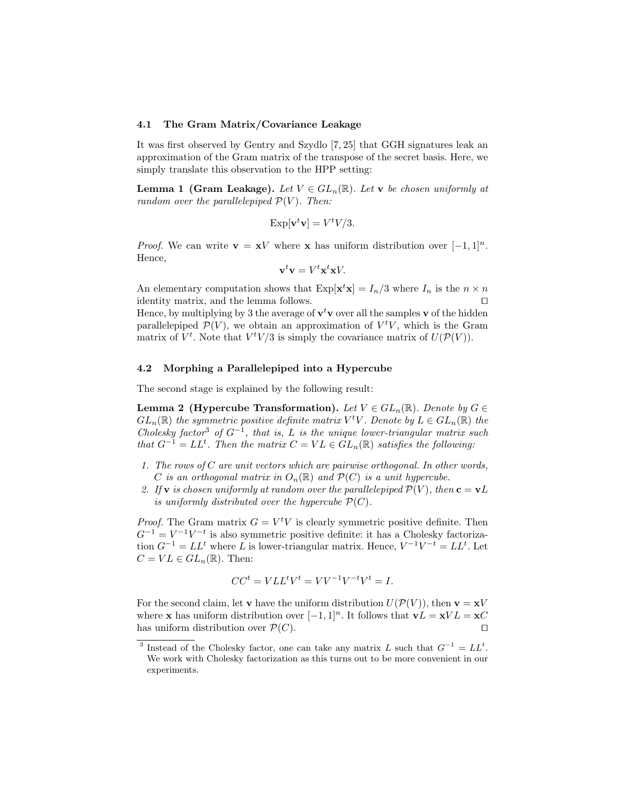#### 4.1 The Gram Matrix/Covariance Leakage

It was first observed by Gentry and Szydlo [7, 25] that GGH signatures leak an approximation of the Gram matrix of the transpose of the secret basis. Here, we simply translate this observation to the HPP setting:

**Lemma 1 (Gram Leakage).** Let  $V \in GL_n(\mathbb{R})$ . Let v be chosen uniformly at random over the parallelepiped  $\mathcal{P}(V)$ . Then:

$$
Exp[\mathbf{v}^t \mathbf{v}] = V^t V/3.
$$

*Proof.* We can write  $\mathbf{v} = \mathbf{x}V$  where x has uniform distribution over  $[-1, 1]^n$ . Hence,

$$
\mathbf{v}^t \mathbf{v} = V^t \mathbf{x}^t \mathbf{x} V.
$$

An elementary computation shows that  $\text{Exp}[\mathbf{x}^t \mathbf{x}] = I_n/3$  where  $I_n$  is the  $n \times n$ identity matrix, and the lemma follows.  $\Box$ 

Hence, by multiplying by 3 the average of  $v^t v$  over all the samples v of the hidden parallelepiped  $\mathcal{P}(V)$ , we obtain an approximation of  $V^tV$ , which is the Gram matrix of  $V^t$ . Note that  $V^tV/3$  is simply the covariance matrix of  $U(\mathcal{P}(V))$ .

## 4.2 Morphing a Parallelepiped into a Hypercube

The second stage is explained by the following result:

Lemma 2 (Hypercube Transformation). Let  $V \in GL_n(\mathbb{R})$ . Denote by  $G \in$  $GL_n(\mathbb{R})$  the symmetric positive definite matrix  $V^tV$ . Denote by  $L \in GL_n(\mathbb{R})$  the Cholesky factor<sup>3</sup> of  $G^{-1}$ , that is, L is the unique lower-triangular matrix such that  $G^{-1} = LL^t$ . Then the matrix  $C = VL \in GL_n(\mathbb{R})$  satisfies the following:

- 1. The rows of  $C$  are unit vectors which are pairwise orthogonal. In other words, C is an orthogonal matrix in  $O_n(\mathbb{R})$  and  $\mathcal{P}(C)$  is a unit hypercube.
- 2. If **v** is chosen uniformly at random over the parallelepiped  $\mathcal{P}(V)$ , then  $\mathbf{c} = \mathbf{v}L$ is uniformly distributed over the hypercube  $\mathcal{P}(C)$ .

*Proof.* The Gram matrix  $G = V^t V$  is clearly symmetric positive definite. Then  $G^{-1} = V^{-1}V^{-t}$  is also symmetric positive definite: it has a Cholesky factorization  $G^{-1} = LL^t$  where L is lower-triangular matrix. Hence,  $V^{-1}V^{-t} = LL^t$ . Let  $C = VL \in GL_n(\mathbb{R})$ . Then:

$$
CC^t = VLL^t V^t = VV^{-1}V^{-t}V^t = I.
$$

For the second claim, let **v** have the uniform distribution  $U(\mathcal{P}(V))$ , then **v** = **x**V where x has uniform distribution over  $[-1, 1]^n$ . It follows that  $vL = xVL = xC$ has uniform distribution over  $\mathcal{P}(C)$ .

<sup>&</sup>lt;sup>3</sup> Instead of the Cholesky factor, one can take any matrix L such that  $G^{-1} = LL^t$ . We work with Cholesky factorization as this turns out to be more convenient in our experiments.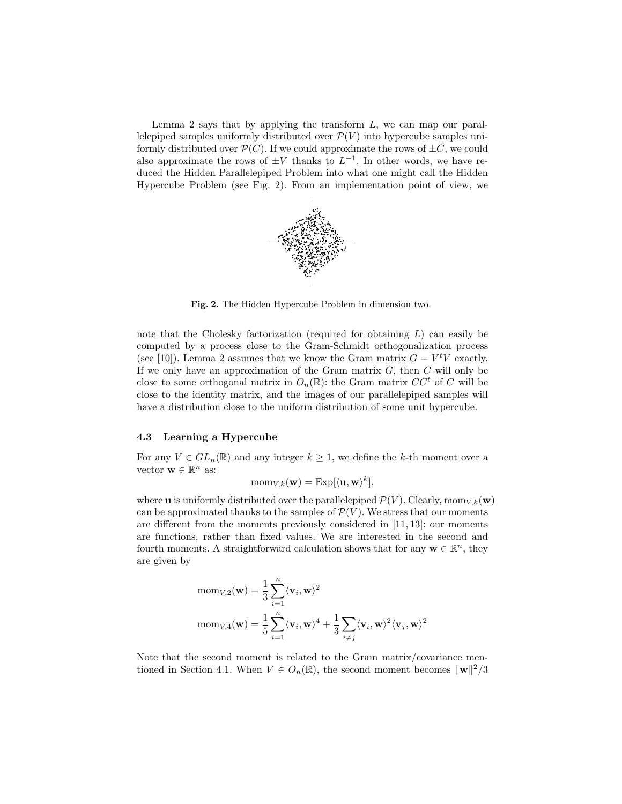Lemma 2 says that by applying the transform  $L$ , we can map our parallelepiped samples uniformly distributed over  $\mathcal{P}(V)$  into hypercube samples uniformly distributed over  $\mathcal{P}(C)$ . If we could approximate the rows of  $\pm C$ , we could also approximate the rows of  $\pm V$  thanks to  $L^{-1}$ . In other words, we have reduced the Hidden Parallelepiped Problem into what one might call the Hidden Hypercube Problem (see Fig. 2). From an implementation point of view, we



Fig. 2. The Hidden Hypercube Problem in dimension two.

note that the Cholesky factorization (required for obtaining  $L$ ) can easily be computed by a process close to the Gram-Schmidt orthogonalization process (see [10]). Lemma 2 assumes that we know the Gram matrix  $G = V^t V$  exactly. If we only have an approximation of the Gram matrix  $G$ , then  $C$  will only be close to some orthogonal matrix in  $O_n(\mathbb{R})$ : the Gram matrix  $CC^t$  of C will be close to the identity matrix, and the images of our parallelepiped samples will have a distribution close to the uniform distribution of some unit hypercube.

#### 4.3 Learning a Hypercube

For any  $V \in GL_n(\mathbb{R})$  and any integer  $k \geq 1$ , we define the k-th moment over a vector  $\mathbf{w} \in \mathbb{R}^n$  as:

$$
\mathrm{mom}_{V,k}(\mathbf{w}) = \mathrm{Exp}[\langle \mathbf{u}, \mathbf{w} \rangle^k],
$$

where **u** is uniformly distributed over the parallelepiped  $\mathcal{P}(V)$ . Clearly,  $\text{mom}_{V,k}(\mathbf{w})$ can be approximated thanks to the samples of  $\mathcal{P}(V)$ . We stress that our moments are different from the moments previously considered in [11, 13]: our moments are functions, rather than fixed values. We are interested in the second and fourth moments. A straightforward calculation shows that for any  $\mathbf{w} \in \mathbb{R}^n$ , they are given by

$$
\begin{aligned}\n\text{mom}_{V,2}(\mathbf{w}) &= \frac{1}{3} \sum_{i=1}^{n} \langle \mathbf{v}_i, \mathbf{w} \rangle^2 \\
\text{mom}_{V,4}(\mathbf{w}) &= \frac{1}{5} \sum_{i=1}^{n} \langle \mathbf{v}_i, \mathbf{w} \rangle^4 + \frac{1}{3} \sum_{i \neq j} \langle \mathbf{v}_i, \mathbf{w} \rangle^2 \langle \mathbf{v}_j, \mathbf{w} \rangle^2\n\end{aligned}
$$

Note that the second moment is related to the Gram matrix/covariance mentioned in Section 4.1. When  $V \in O_n(\mathbb{R})$ , the second moment becomes  $\|\mathbf{w}\|^2/3$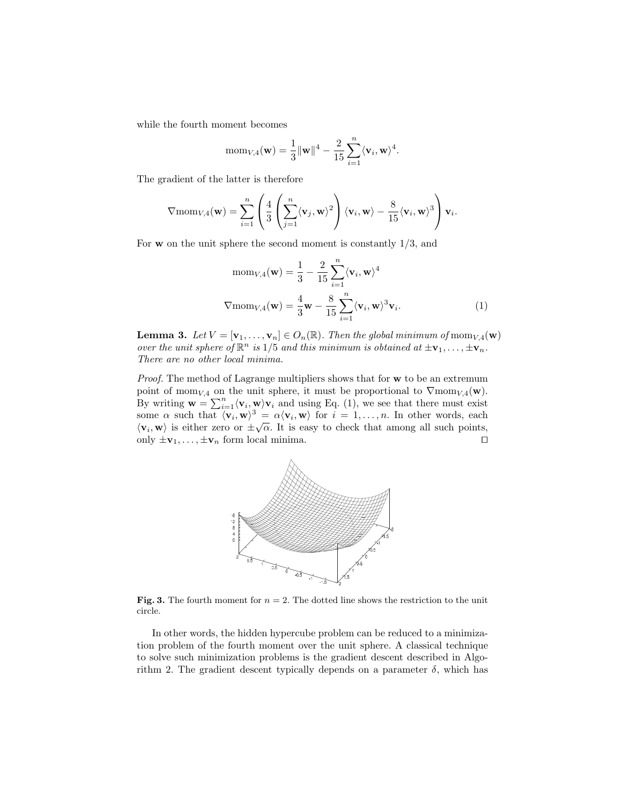while the fourth moment becomes

$$
\text{mom}_{V,4}(\mathbf{w}) = \frac{1}{3} \|\mathbf{w}\|^4 - \frac{2}{15} \sum_{i=1}^n \langle \mathbf{v}_i, \mathbf{w} \rangle^4.
$$

The gradient of the latter is therefore

$$
\nabla \text{mom}_{V,4}(\mathbf{w}) = \sum_{i=1}^{n} \left( \frac{4}{3} \left( \sum_{j=1}^{n} \langle \mathbf{v}_j, \mathbf{w} \rangle^2 \right) \langle \mathbf{v}_i, \mathbf{w} \rangle - \frac{8}{15} \langle \mathbf{v}_i, \mathbf{w} \rangle^3 \right) \mathbf{v}_i.
$$

For w on the unit sphere the second moment is constantly 1/3, and

$$
\text{mom}_{V,4}(\mathbf{w}) = \frac{1}{3} - \frac{2}{15} \sum_{i=1}^{n} \langle \mathbf{v}_i, \mathbf{w} \rangle^4
$$

$$
\nabla \text{mom}_{V,4}(\mathbf{w}) = \frac{4}{3} \mathbf{w} - \frac{8}{15} \sum_{i=1}^{n} \langle \mathbf{v}_i, \mathbf{w} \rangle^3 \mathbf{v}_i.
$$
(1)

**Lemma 3.** Let  $V = [\mathbf{v}_1, \dots, \mathbf{v}_n] \in O_n(\mathbb{R})$ . Then the global minimum of  $\text{mom}_{V,4}(\mathbf{w})$ over the unit sphere of  $\mathbb{R}^n$  is 1/5 and this minimum is obtained at  $\pm \mathbf{v}_1, \ldots, \pm \mathbf{v}_n$ . There are no other local minima.

Proof. The method of Lagrange multipliers shows that for **w** to be an extremum point of mom<sub>V,4</sub> on the unit sphere, it must be proportional to  $\nabla$ mom<sub>V,4</sub>(w). By writing  $\mathbf{w} = \sum_{i=1}^{n} \langle \mathbf{v}_i, \mathbf{w} \rangle \mathbf{v}_i$  and using Eq. (1), we see that there must exist some  $\alpha$  such that  $\langle \mathbf{v}_i, \mathbf{w} \rangle^3 = \alpha \langle \mathbf{v}_i, \mathbf{w} \rangle$  for  $i = 1, ..., n$ . In other words, each  $\langle v_i, w \rangle$  is either zero or  $\pm \sqrt{\alpha}$ . It is easy to check that among all such points, only  $\pm \mathbf{v}_1, \ldots, \pm \mathbf{v}_n$  form local minima.



**Fig. 3.** The fourth moment for  $n = 2$ . The dotted line shows the restriction to the unit circle.

In other words, the hidden hypercube problem can be reduced to a minimization problem of the fourth moment over the unit sphere. A classical technique to solve such minimization problems is the gradient descent described in Algorithm 2. The gradient descent typically depends on a parameter  $\delta$ , which has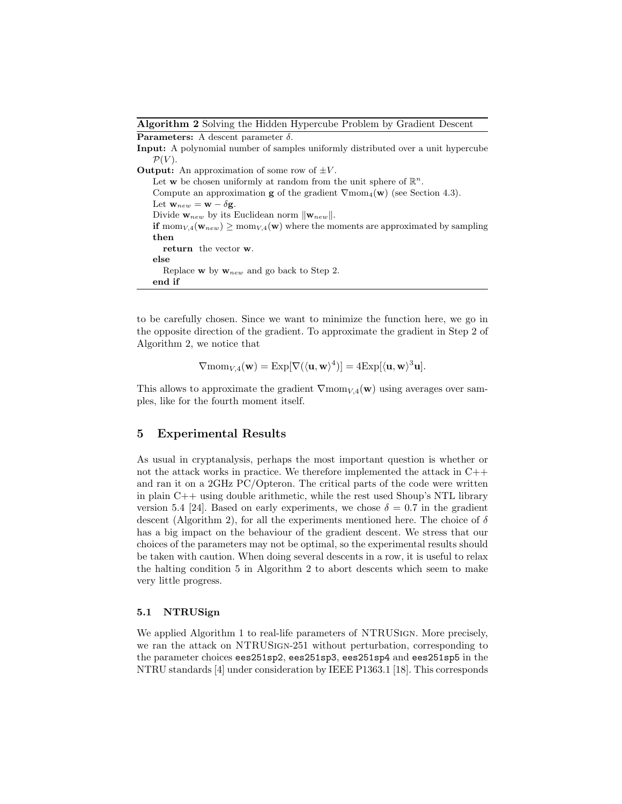Algorithm 2 Solving the Hidden Hypercube Problem by Gradient Descent

**Parameters:** A descent parameter  $\delta$ .

Input: A polynomial number of samples uniformly distributed over a unit hypercube  $\mathcal{P}(V)$ . **Output:** An approximation of some row of  $\pm V$ . Let **w** be chosen uniformly at random from the unit sphere of  $\mathbb{R}^n$ . Compute an approximation **g** of the gradient  $\nabla$ mom<sub>4</sub>(**w**) (see Section 4.3). Let  $\mathbf{w}_{new} = \mathbf{w} - \delta \mathbf{g}$ . Divide  $\mathbf{w}_{new}$  by its Euclidean norm  $\|\mathbf{w}_{new}\|$ . if  $\text{mom}_{V,4}(\mathbf{w}_{new}) \ge \text{mom}_{V,4}(\mathbf{w})$  where the moments are approximated by sampling then return the vector w. else Replace **w** by  $w_{new}$  and go back to Step 2. end if

to be carefully chosen. Since we want to minimize the function here, we go in the opposite direction of the gradient. To approximate the gradient in Step 2 of Algorithm 2, we notice that

$$
\nabla \text{mom}_{V,4}(\mathbf{w}) = \text{Exp}[\nabla(\langle \mathbf{u}, \mathbf{w} \rangle^4)] = 4 \text{Exp}[\langle \mathbf{u}, \mathbf{w} \rangle^3 \mathbf{u}].
$$

This allows to approximate the gradient  $\nabla \text{mom}_{V,4}(\mathbf{w})$  using averages over samples, like for the fourth moment itself.

## 5 Experimental Results

As usual in cryptanalysis, perhaps the most important question is whether or not the attack works in practice. We therefore implemented the attack in  $C_{++}$ and ran it on a 2GHz PC/Opteron. The critical parts of the code were written in plain C++ using double arithmetic, while the rest used Shoup's NTL library version 5.4 [24]. Based on early experiments, we chose  $\delta = 0.7$  in the gradient descent (Algorithm 2), for all the experiments mentioned here. The choice of  $\delta$ has a big impact on the behaviour of the gradient descent. We stress that our choices of the parameters may not be optimal, so the experimental results should be taken with caution. When doing several descents in a row, it is useful to relax the halting condition 5 in Algorithm 2 to abort descents which seem to make very little progress.

#### 5.1 NTRUSign

We applied Algorithm 1 to real-life parameters of NTRUSIGN. More precisely, we ran the attack on NTRUSign-251 without perturbation, corresponding to the parameter choices ees251sp2, ees251sp3, ees251sp4 and ees251sp5 in the NTRU standards [4] under consideration by IEEE P1363.1 [18]. This corresponds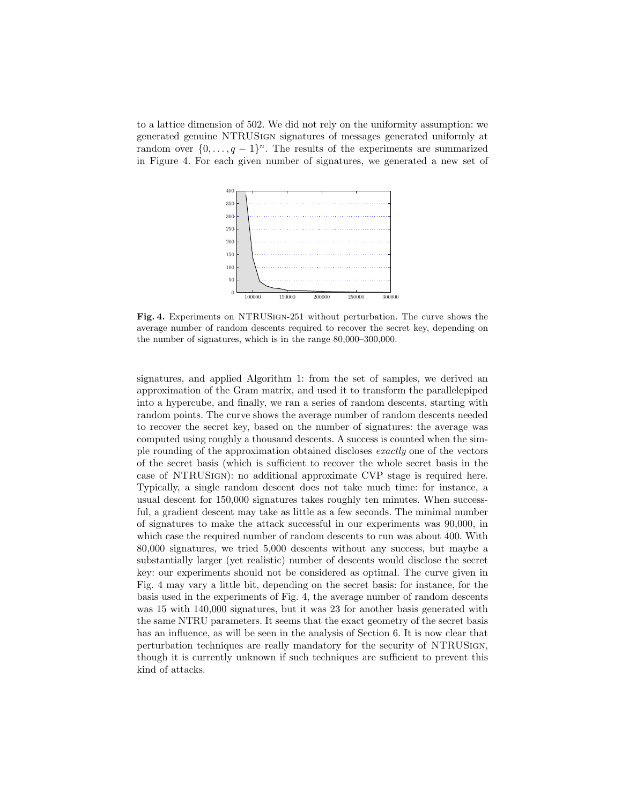to a lattice dimension of 502. We did not rely on the uniformity assumption: we generated genuine NTRUSign signatures of messages generated uniformly at random over  $\{0, \ldots, q-1\}^n$ . The results of the experiments are summarized in Figure 4. For each given number of signatures, we generated a new set of



Fig. 4. Experiments on NTRUSign-251 without perturbation. The curve shows the average number of random descents required to recover the secret key, depending on the number of signatures, which is in the range 80,000–300,000.

signatures, and applied Algorithm 1: from the set of samples, we derived an approximation of the Gram matrix, and used it to transform the parallelepiped into a hypercube, and finally, we ran a series of random descents, starting with random points. The curve shows the average number of random descents needed to recover the secret key, based on the number of signatures: the average was computed using roughly a thousand descents. A success is counted when the simple rounding of the approximation obtained discloses exactly one of the vectors of the secret basis (which is sufficient to recover the whole secret basis in the case of NTRUSign): no additional approximate CVP stage is required here. Typically, a single random descent does not take much time: for instance, a usual descent for 150,000 signatures takes roughly ten minutes. When successful, a gradient descent may take as little as a few seconds. The minimal number of signatures to make the attack successful in our experiments was 90,000, in which case the required number of random descents to run was about 400. With 80,000 signatures, we tried 5,000 descents without any success, but maybe a substantially larger (yet realistic) number of descents would disclose the secret key: our experiments should not be considered as optimal. The curve given in Fig. 4 may vary a little bit, depending on the secret basis: for instance, for the basis used in the experiments of Fig. 4, the average number of random descents was 15 with 140,000 signatures, but it was 23 for another basis generated with the same NTRU parameters. It seems that the exact geometry of the secret basis has an influence, as will be seen in the analysis of Section 6. It is now clear that perturbation techniques are really mandatory for the security of NTRUSign, though it is currently unknown if such techniques are sufficient to prevent this kind of attacks.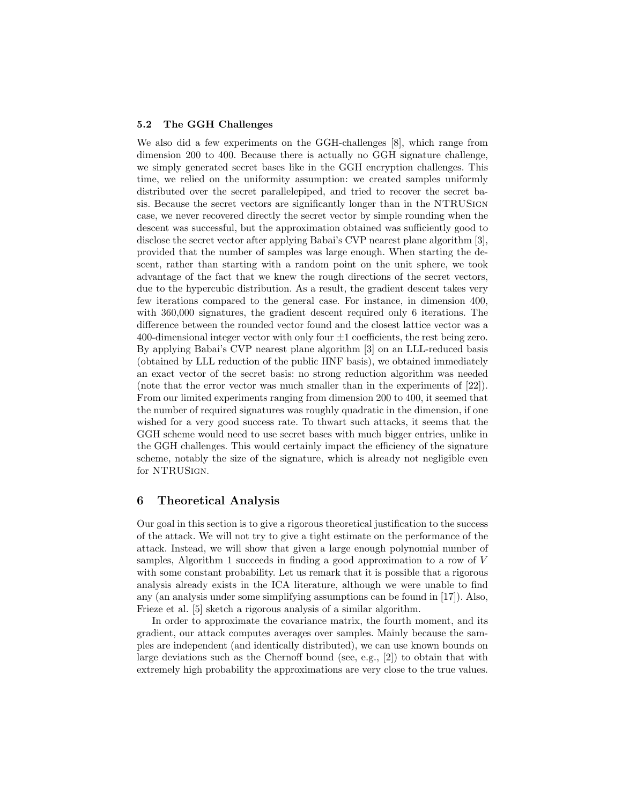#### 5.2 The GGH Challenges

We also did a few experiments on the GGH-challenges [8], which range from dimension 200 to 400. Because there is actually no GGH signature challenge, we simply generated secret bases like in the GGH encryption challenges. This time, we relied on the uniformity assumption: we created samples uniformly distributed over the secret parallelepiped, and tried to recover the secret basis. Because the secret vectors are significantly longer than in the NTRUSign case, we never recovered directly the secret vector by simple rounding when the descent was successful, but the approximation obtained was sufficiently good to disclose the secret vector after applying Babai's CVP nearest plane algorithm [3], provided that the number of samples was large enough. When starting the descent, rather than starting with a random point on the unit sphere, we took advantage of the fact that we knew the rough directions of the secret vectors, due to the hypercubic distribution. As a result, the gradient descent takes very few iterations compared to the general case. For instance, in dimension 400, with 360,000 signatures, the gradient descent required only 6 iterations. The difference between the rounded vector found and the closest lattice vector was a 400-dimensional integer vector with only four  $\pm 1$  coefficients, the rest being zero. By applying Babai's CVP nearest plane algorithm [3] on an LLL-reduced basis (obtained by LLL reduction of the public HNF basis), we obtained immediately an exact vector of the secret basis: no strong reduction algorithm was needed (note that the error vector was much smaller than in the experiments of [22]). From our limited experiments ranging from dimension 200 to 400, it seemed that the number of required signatures was roughly quadratic in the dimension, if one wished for a very good success rate. To thwart such attacks, it seems that the GGH scheme would need to use secret bases with much bigger entries, unlike in the GGH challenges. This would certainly impact the efficiency of the signature scheme, notably the size of the signature, which is already not negligible even for NTRUSign.

## 6 Theoretical Analysis

Our goal in this section is to give a rigorous theoretical justification to the success of the attack. We will not try to give a tight estimate on the performance of the attack. Instead, we will show that given a large enough polynomial number of samples, Algorithm 1 succeeds in finding a good approximation to a row of  $V$ with some constant probability. Let us remark that it is possible that a rigorous analysis already exists in the ICA literature, although we were unable to find any (an analysis under some simplifying assumptions can be found in [17]). Also, Frieze et al. [5] sketch a rigorous analysis of a similar algorithm.

In order to approximate the covariance matrix, the fourth moment, and its gradient, our attack computes averages over samples. Mainly because the samples are independent (and identically distributed), we can use known bounds on large deviations such as the Chernoff bound (see, e.g., [2]) to obtain that with extremely high probability the approximations are very close to the true values.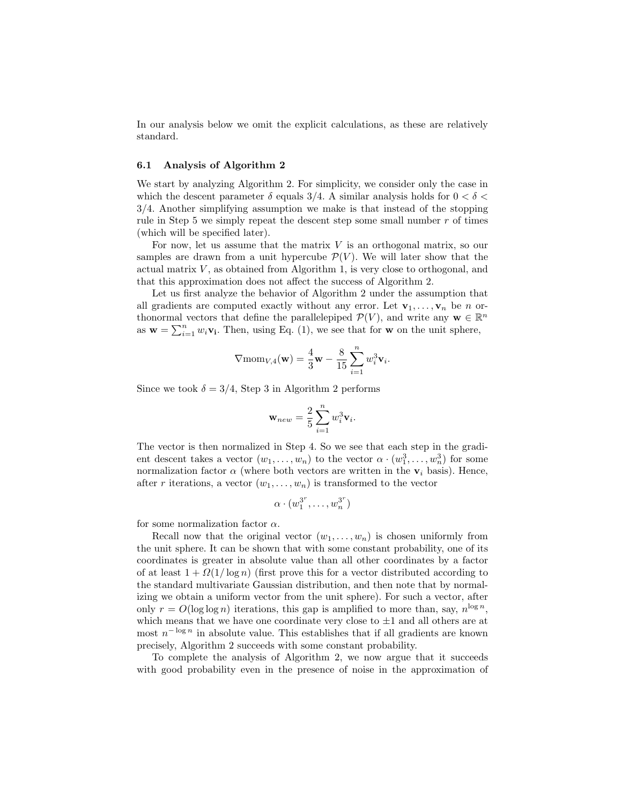In our analysis below we omit the explicit calculations, as these are relatively standard.

### 6.1 Analysis of Algorithm 2

We start by analyzing Algorithm 2. For simplicity, we consider only the case in which the descent parameter  $\delta$  equals 3/4. A similar analysis holds for  $0 < \delta <$ 3/4. Another simplifying assumption we make is that instead of the stopping rule in Step 5 we simply repeat the descent step some small number  $r$  of times (which will be specified later).

For now, let us assume that the matrix  $V$  is an orthogonal matrix, so our samples are drawn from a unit hypercube  $\mathcal{P}(V)$ . We will later show that the actual matrix  $V$ , as obtained from Algorithm 1, is very close to orthogonal, and that this approximation does not affect the success of Algorithm 2.

Let us first analyze the behavior of Algorithm 2 under the assumption that all gradients are computed exactly without any error. Let  $\mathbf{v}_1, \ldots, \mathbf{v}_n$  be n orthonormal vectors that define the parallelepiped  $\mathcal{P}(V)$ , and write any  $\mathbf{w} \in \mathbb{R}^n$ as  $\mathbf{w} = \sum_{i=1}^{n} w_i \mathbf{v_i}$ . Then, using Eq. (1), we see that for **w** on the unit sphere,

$$
\nabla \text{mom}_{V,4}(\mathbf{w}) = \frac{4}{3}\mathbf{w} - \frac{8}{15} \sum_{i=1}^{n} w_i^3 \mathbf{v}_i.
$$

Since we took  $\delta = 3/4$ , Step 3 in Algorithm 2 performs

$$
\mathbf{w}_{new} = \frac{2}{5} \sum_{i=1}^{n} w_i^3 \mathbf{v}_i.
$$

The vector is then normalized in Step 4. So we see that each step in the gradient descent takes a vector  $(w_1, \ldots, w_n)$  to the vector  $\alpha \cdot (w_1^3, \ldots, w_n^3)$  for some normalization factor  $\alpha$  (where both vectors are written in the  $v_i$  basis). Hence, after r iterations, a vector  $(w_1, \ldots, w_n)$  is transformed to the vector

$$
\alpha\cdot(w_1^{3^r},\ldots,w_n^{3^r})
$$

for some normalization factor  $\alpha$ .

Recall now that the original vector  $(w_1, \ldots, w_n)$  is chosen uniformly from the unit sphere. It can be shown that with some constant probability, one of its coordinates is greater in absolute value than all other coordinates by a factor of at least  $1 + \Omega(1/\log n)$  (first prove this for a vector distributed according to the standard multivariate Gaussian distribution, and then note that by normalizing we obtain a uniform vector from the unit sphere). For such a vector, after only  $r = O(\log \log n)$  iterations, this gap is amplified to more than, say,  $n^{\log n}$ , which means that we have one coordinate very close to  $\pm 1$  and all others are at most  $n^{-\log n}$  in absolute value. This establishes that if all gradients are known precisely, Algorithm 2 succeeds with some constant probability.

To complete the analysis of Algorithm 2, we now argue that it succeeds with good probability even in the presence of noise in the approximation of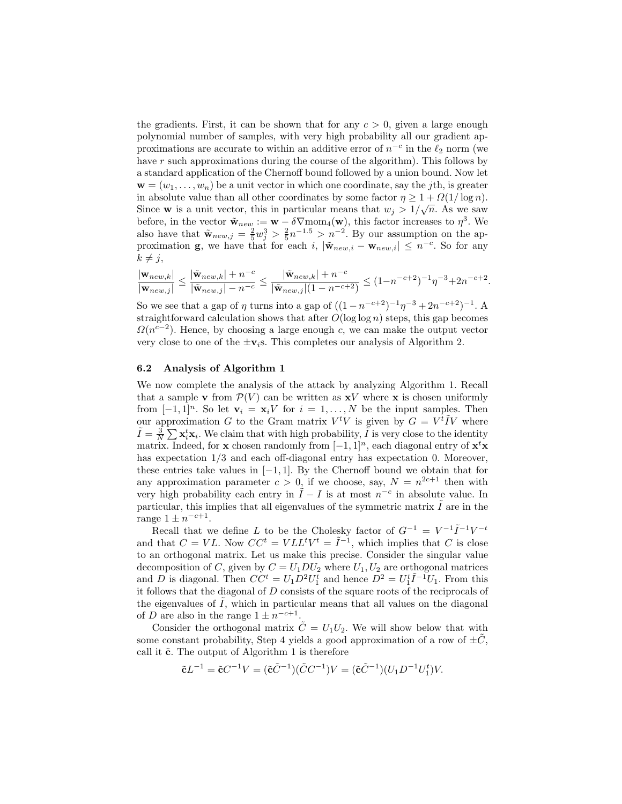the gradients. First, it can be shown that for any  $c > 0$ , given a large enough polynomial number of samples, with very high probability all our gradient approximations are accurate to within an additive error of  $n^{-c}$  in the  $\ell_2$  norm (we have r such approximations during the course of the algorithm). This follows by a standard application of the Chernoff bound followed by a union bound. Now let  $\mathbf{w} = (w_1, \ldots, w_n)$  be a unit vector in which one coordinate, say the jth, is greater in absolute value than all other coordinates by some factor  $\eta \geq 1 + \Omega(1/\log n)$ . Since **w** is a unit vector, this in particular means that  $w_j > 1/\sqrt{n}$ . As we saw before, in the vector  $\tilde{\mathbf{w}}_{new} := \mathbf{w} - \delta \nabla \text{mom}_4(\mathbf{w})$ , this factor increases to  $\eta^3$ . We also have that  $\tilde{\mathbf{w}}_{new,j} = \frac{2}{5}w_j^3 > \frac{2}{5}n^{-1.5} > n^{-2}$ . By our assumption on the approximation **g**, we have that for each i,  $|\tilde{\mathbf{w}}_{new,i} - \mathbf{w}_{new,i}| \leq n^{-c}$ . So for any  $k \neq j$ ,

$$
\frac{|\mathbf{w}_{new,k}|}{|\mathbf{w}_{new,j}|} \leq \frac{|\tilde{\mathbf{w}}_{new,k}| + n^{-c}}{|\tilde{\mathbf{w}}_{new,j}|-n^{-c}} \leq \frac{|\tilde{\mathbf{w}}_{new,k}| + n^{-c}}{|\tilde{\mathbf{w}}_{new,j}|(1-n^{-c+2})} \leq (1-n^{-c+2})^{-1}\eta^{-3} + 2n^{-c+2}.
$$

So we see that a gap of  $\eta$  turns into a gap of  $((1 - n^{-c+2})^{-1}\eta^{-3} + 2n^{-c+2})^{-1}$ . A straightforward calculation shows that after  $O(\log \log n)$  steps, this gap becomes  $\Omega(n^{c-2})$ . Hence, by choosing a large enough c, we can make the output vector very close to one of the  $\pm \mathbf{v}_i$ s. This completes our analysis of Algorithm 2.

#### 6.2 Analysis of Algorithm 1

We now complete the analysis of the attack by analyzing Algorithm 1. Recall that a sample v from  $\mathcal{P}(V)$  can be written as  $xV$  where x is chosen uniformly from  $[-1, 1]^n$ . So let  $\mathbf{v}_i = \mathbf{x}_i V$  for  $i = 1, ..., N$  be the input samples. Then our approximation G to the Gram matrix  $V^t V$  is given by  $G = V^t \tilde{I} V$  where  $\tilde{I} = \frac{3}{N} \sum_{i} \mathbf{x}_i^t \mathbf{x}_i$ . We claim that with high probability,  $\tilde{I}$  is very close to the identity matrix. Indeed, for **x** chosen randomly from  $[-1, 1]^n$ , each diagonal entry of  $\mathbf{x}^t \mathbf{x}$ has expectation  $1/3$  and each off-diagonal entry has expectation 0. Moreover, these entries take values in  $[-1, 1]$ . By the Chernoff bound we obtain that for any approximation parameter  $c > 0$ , if we choose, say,  $N = n^{2c+1}$  then with very high probability each entry in  $\tilde{I} - I$  is at most  $n^{-c}$  in absolute value. In particular, this implies that all eigenvalues of the symmetric matrix  $I$  are in the range  $1 \pm n^{-c+1}$ .

Recall that we define L to be the Cholesky factor of  $G^{-1} = V^{-1} \tilde{I}^{-1} V^{-t}$ and that  $C = VL$ . Now  $CC^t = VLL^tV^t = \tilde{I}^{-1}$ , which implies that C is close to an orthogonal matrix. Let us make this precise. Consider the singular value decomposition of C, given by  $C = U_1 D U_2$  where  $U_1, U_2$  are orthogonal matrices and D is diagonal. Then  $CC^t = U_1 D^2 U_1^{\bar{t}}$  and hence  $D^2 = U_1^{\bar{t}} \tilde{I}^{-1} U_1$ . From this it follows that the diagonal of D consists of the square roots of the reciprocals of the eigenvalues of  $\tilde{I}$ , which in particular means that all values on the diagonal of D are also in the range  $1 \pm n^{-c+1}$ .

Consider the orthogonal matrix  $\tilde{C} = U_1 U_2$ . We will show below that with some constant probability, Step 4 yields a good approximation of a row of  $\pm C$ , call it  $\tilde{c}$ . The output of Algorithm 1 is therefore

$$
\tilde{\mathbf{c}}L^{-1} = \tilde{\mathbf{c}}C^{-1}V = (\tilde{\mathbf{c}}\tilde{C}^{-1})(\tilde{C}C^{-1})V = (\tilde{\mathbf{c}}\tilde{C}^{-1})(U_1D^{-1}U_1^t)V.
$$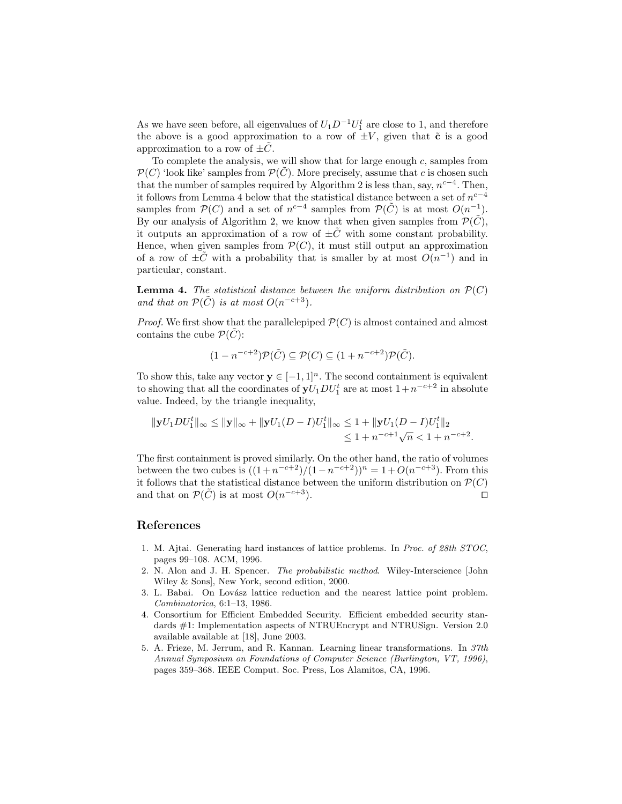As we have seen before, all eigenvalues of  $U_1D^{-1}U_1^t$  are close to 1, and therefore the above is a good approximation to a row of  $\pm V$ , given that  $\tilde{c}$  is a good approximation to a row of  $\pm C$ .

To complete the analysis, we will show that for large enough  $c$ , samples from  $\mathcal{P}(C)$  'look like' samples from  $\mathcal{P}(\tilde{C})$ . More precisely, assume that c is chosen such that the number of samples required by Algorithm 2 is less than, say,  $n^{c-4}$ . Then, it follows from Lemma 4 below that the statistical distance between a set of  $n^{c-4}$ samples from  $\mathcal{P}(C)$  and a set of  $n^{c-4}$  samples from  $\mathcal{P}(\tilde{C})$  is at most  $O(n^{-1})$ . By our analysis of Algorithm 2, we know that when given samples from  $\mathcal{P}(\tilde{C})$ , it outputs an approximation of a row of  $\pm \tilde{C}$  with some constant probability. Hence, when given samples from  $\mathcal{P}(C)$ , it must still output an approximation of a row of  $\pm \tilde{C}$  with a probability that is smaller by at most  $O(n^{-1})$  and in particular, constant.

**Lemma 4.** The statistical distance between the uniform distribution on  $\mathcal{P}(C)$ and that on  $\mathcal{P}(\tilde{C})$  is at most  $O(n^{-c+3})$ .

*Proof.* We first show that the parallelepiped  $\mathcal{P}(C)$  is almost contained and almost contains the cube  $\mathcal{P}(C)$ :

$$
(1 - n^{-c+2})\mathcal{P}(\tilde{C}) \subseteq \mathcal{P}(C) \subseteq (1 + n^{-c+2})\mathcal{P}(\tilde{C}).
$$

To show this, take any vector  $y \in [-1, 1]^n$ . The second containment is equivalent to showing that all the coordinates of  $yU_1DU_1^t$  are at most  $1+n^{-c+2}$  in absolute value. Indeed, by the triangle inequality,

$$
\|\mathbf{y}U_1DU_1^t\|_{\infty} \le \|\mathbf{y}\|_{\infty} + \|\mathbf{y}U_1(D-I)U_1^t\|_{\infty} \le 1 + \|\mathbf{y}U_1(D-I)U_1^t\|_2
$$
  

$$
\le 1 + n^{-c+1}\sqrt{n} < 1 + n^{-c+2}.
$$

The first containment is proved similarly. On the other hand, the ratio of volumes between the two cubes is  $((1+n^{-c+2})/(1-n^{-c+2}))^n = 1 + O(n^{-c+3})$ . From this it follows that the statistical distance between the uniform distribution on  $\mathcal{P}(C)$ and that on  $\mathcal{P}(\tilde{C})$  is at most  $O(n^{-c+3})$ .

## References

- 1. M. Ajtai. Generating hard instances of lattice problems. In Proc. of 28th STOC, pages 99–108. ACM, 1996.
- 2. N. Alon and J. H. Spencer. The probabilistic method. Wiley-Interscience [John Wiley & Sons], New York, second edition, 2000.
- 3. L. Babai. On Lovász lattice reduction and the nearest lattice point problem. Combinatorica, 6:1–13, 1986.
- 4. Consortium for Efficient Embedded Security. Efficient embedded security standards #1: Implementation aspects of NTRUEncrypt and NTRUSign. Version 2.0 available available at [18], June 2003.
- 5. A. Frieze, M. Jerrum, and R. Kannan. Learning linear transformations. In 37th Annual Symposium on Foundations of Computer Science (Burlington, VT, 1996), pages 359–368. IEEE Comput. Soc. Press, Los Alamitos, CA, 1996.